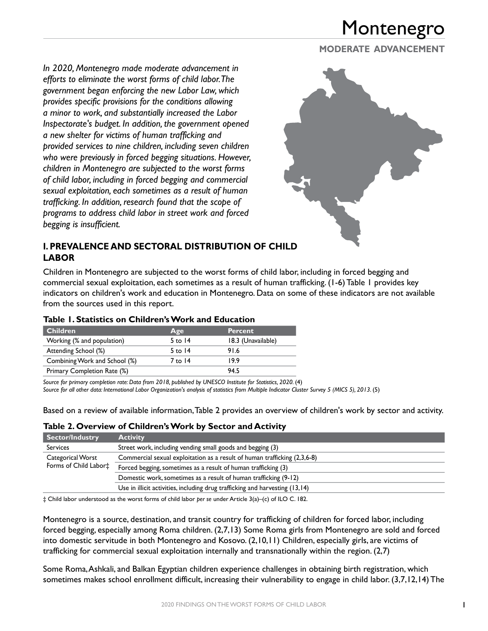**MODERATE ADVANCEMENT**

*In 2020, Montenegro made moderate advancement in efforts to eliminate the worst forms of child labor. The government began enforcing the new Labor Law, which provides specific provisions for the conditions allowing a minor to work, and substantially increased the Labor Inspectorate's budget. In addition, the government opened a new shelter for victims of human trafficking and provided services to nine children, including seven children who were previously in forced begging situations. However, children in Montenegro are subjected to the worst forms of child labor, including in forced begging and commercial sexual exploitation, each sometimes as a result of human trafficking. In addition, research found that the scope of programs to address child labor in street work and forced begging is insufficient.*



#### **I. PREVALENCE AND SECTORAL DISTRIBUTION OF CHILD LABOR**

Children in Montenegro are subjected to the worst forms of child labor, including in forced begging and commercial sexual exploitation, each sometimes as a result of human trafficking. (1-6) Table 1 provides key indicators on children's work and education in Montenegro. Data on some of these indicators are not available from the sources used in this report.

| Table 1. Statistics on Children's Work and Education |
|------------------------------------------------------|
|------------------------------------------------------|

| <b>Children</b>                                  | Age       | <b>Percent</b>     |
|--------------------------------------------------|-----------|--------------------|
| Working (% and population)                       | 5 to $14$ | 18.3 (Unavailable) |
| Attending School (%)                             | 5 to $14$ | 91.6               |
| Combining Work and School (%)<br>19.9<br>7 to 14 |           |                    |
| Primary Completion Rate (%)                      |           | 94 5               |

Source for primary completion rate: Data from 2018, published by UNESCO Institute for Statistics, 2020. (4)

*Source for all other data: International Labor Organization's analysis of statistics from Multiple Indicator Cluster Survey 5 (MICS 5), 2013.* (5)

Based on a review of available information, Table 2 provides an overview of children's work by sector and activity.

#### **Table 2. Overview of Children's Work by Sector and Activity**

| <b>Sector/Industry</b>                     | <b>Activity</b>                                                              |
|--------------------------------------------|------------------------------------------------------------------------------|
| <b>Services</b>                            | Street work, including vending small goods and begging (3)                   |
| Categorical Worst<br>Forms of Child Labor‡ | Commercial sexual exploitation as a result of human trafficking (2,3,6-8)    |
|                                            | Forced begging, sometimes as a result of human trafficking (3)               |
|                                            | Domestic work, sometimes as a result of human trafficking (9-12)             |
|                                            | Use in illicit activities, including drug trafficking and harvesting (13,14) |

‡ Child labor understood as the worst forms of child labor *per se* under Article 3(a)–(c) of ILO C. 182.

Montenegro is a source, destination, and transit country for trafficking of children for forced labor, including forced begging, especially among Roma children. (2,7,13) Some Roma girls from Montenegro are sold and forced into domestic servitude in both Montenegro and Kosovo. (2,10,11) Children, especially girls, are victims of trafficking for commercial sexual exploitation internally and transnationally within the region. (2,7)

Some Roma, Ashkali, and Balkan Egyptian children experience challenges in obtaining birth registration, which sometimes makes school enrollment difficult, increasing their vulnerability to engage in child labor. (3,7,12,14) The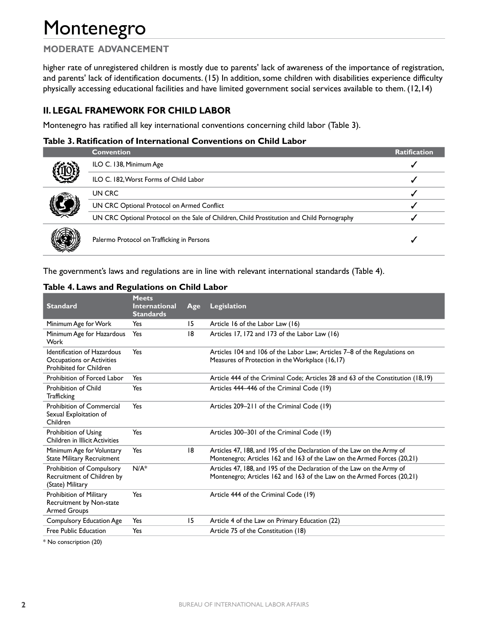## **MODERATE ADVANCEMENT**

higher rate of unregistered children is mostly due to parents' lack of awareness of the importance of registration, and parents' lack of identification documents. (15) In addition, some children with disabilities experience difficulty physically accessing educational facilities and have limited government social services available to them. (12,14)

#### **II. LEGAL FRAMEWORK FOR CHILD LABOR**

Montenegro has ratified all key international conventions concerning child labor (Table 3).

#### **Table 3. Ratification of International Conventions on Child Labor**

|  | <b>Convention</b>                                                                          | <b>Ratification</b> |
|--|--------------------------------------------------------------------------------------------|---------------------|
|  | ILO C. 138, Minimum Age                                                                    |                     |
|  | ILO C. 182, Worst Forms of Child Labor                                                     |                     |
|  | UN CRC                                                                                     |                     |
|  | UN CRC Optional Protocol on Armed Conflict                                                 |                     |
|  | UN CRC Optional Protocol on the Sale of Children, Child Prostitution and Child Pornography |                     |
|  | Palermo Protocol on Trafficking in Persons                                                 |                     |

The government's laws and regulations are in line with relevant international standards (Table 4).

|  |  | Table 4. Laws and Regulations on Child Labor |  |  |
|--|--|----------------------------------------------|--|--|
|  |  |                                              |  |  |

| <b>Standard</b>                                                                            | <b>Meets</b><br><b>International</b><br><b>Standards</b> | Age | Legislation                                                                                                                                       |
|--------------------------------------------------------------------------------------------|----------------------------------------------------------|-----|---------------------------------------------------------------------------------------------------------------------------------------------------|
| Minimum Age for Work                                                                       | Yes                                                      | 15  | Article 16 of the Labor Law (16)                                                                                                                  |
| Minimum Age for Hazardous<br>Work                                                          | Yes                                                      | 18  | Articles 17, 172 and 173 of the Labor Law (16)                                                                                                    |
| Identification of Hazardous<br>Occupations or Activities<br><b>Prohibited for Children</b> | Yes                                                      |     | Articles 104 and 106 of the Labor Law; Articles 7–8 of the Regulations on<br>Measures of Protection in the Workplace (16,17)                      |
| Prohibition of Forced Labor                                                                | Yes                                                      |     | Article 444 of the Criminal Code; Articles 28 and 63 of the Constitution (18,19)                                                                  |
| <b>Prohibition of Child</b><br><b>Trafficking</b>                                          | Yes                                                      |     | Articles 444–446 of the Criminal Code (19)                                                                                                        |
| Prohibition of Commercial<br>Sexual Exploitation of<br>Children                            | Yes                                                      |     | Articles 209-211 of the Criminal Code (19)                                                                                                        |
| Prohibition of Using<br>Children in Illicit Activities                                     | Yes                                                      |     | Articles 300-301 of the Criminal Code (19)                                                                                                        |
| Minimum Age for Voluntary<br><b>State Military Recruitment</b>                             | Yes                                                      | 18  | Articles 47, 188, and 195 of the Declaration of the Law on the Army of<br>Montenegro; Articles 162 and 163 of the Law on the Armed Forces (20,21) |
| <b>Prohibition of Compulsory</b><br>Recruitment of Children by<br>(State) Military         | $N/A^*$                                                  |     | Articles 47, 188, and 195 of the Declaration of the Law on the Army of<br>Montenegro; Articles 162 and 163 of the Law on the Armed Forces (20,21) |
| Prohibition of Military<br>Recruitment by Non-state<br><b>Armed Groups</b>                 | Yes                                                      |     | Article 444 of the Criminal Code (19)                                                                                                             |
| <b>Compulsory Education Age</b>                                                            | Yes                                                      | 15  | Article 4 of the Law on Primary Education (22)                                                                                                    |
| Free Public Education                                                                      | Yes                                                      |     | Article 75 of the Constitution (18)                                                                                                               |

\* No conscription (20)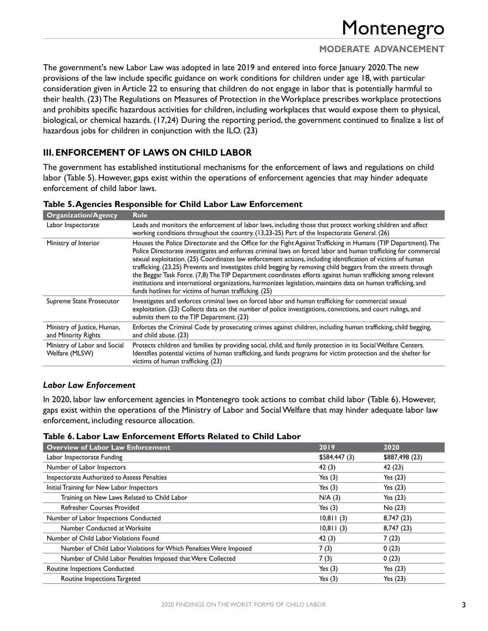## **MODERATE ADVANCEMENT**

The government's new Labor Law was adopted in late 2019 and entered into force January 2020. The new provisions of the law include specific guidance on work conditions for children under age 18, with particular consideration given in Article 22 to ensuring that children do not engage in labor that is potentially harmful to their health. (23) The Regulations on Measures of Protection in the Workplace prescribes workplace protections and prohibits specific hazardous activities for children, including workplaces that would expose them to physical, biological, or chemical hazards. (17,24) During the reporting period, the government continued to finalize a list of hazardous jobs for children in conjunction with the ILO. (23)

### **III. ENFORCEMENT OF LAWS ON CHILD LABOR**

The government has established institutional mechanisms for the enforcement of laws and regulations on child labor (Table 5). However, gaps exist within the operations of enforcement agencies that may hinder adequate enforcement of child labor laws.

| <b>Organization/Agency</b>                         | <b>Role</b>                                                                                                                                                                                                                                                                                                                                                                                                                                                                                                                                                                                                                                                                                                                                                    |
|----------------------------------------------------|----------------------------------------------------------------------------------------------------------------------------------------------------------------------------------------------------------------------------------------------------------------------------------------------------------------------------------------------------------------------------------------------------------------------------------------------------------------------------------------------------------------------------------------------------------------------------------------------------------------------------------------------------------------------------------------------------------------------------------------------------------------|
| Labor Inspectorate                                 | Leads and monitors the enforcement of labor laws, including those that protect working children and affect<br>working conditions throughout the country. (13,23-25) Part of the Inspectorate General. (26)                                                                                                                                                                                                                                                                                                                                                                                                                                                                                                                                                     |
| Ministry of Interior                               | Houses the Police Directorate and the Office for the Fight Against Trafficking in Humans (TIP Department). The<br>Police Directorate investigates and enforces criminal laws on forced labor and human trafficking for commercial<br>sexual exploitation. (25) Coordinates law enforcement actions, including identification of victims of human<br>trafficking. (23,25) Prevents and investigates child begging by removing child beggars from the streets through<br>the Beggar Task Force. (7,8) The TIP Department coordinates efforts against human trafficking among relevant<br>institutions and international organizations, harmonizes legislation, maintains data on human trafficking, and<br>funds hotlines for victims of human trafficking. (25) |
| Supreme State Prosecutor                           | Investigates and enforces criminal laws on forced labor and human trafficking for commercial sexual<br>exploitation. (23) Collects data on the number of police investigations, convictions, and court rulings, and<br>submits them to the TIP Department. (23)                                                                                                                                                                                                                                                                                                                                                                                                                                                                                                |
| Ministry of Justice, Human,<br>and Minority Rights | Enforces the Criminal Code by prosecuting crimes against children, including human trafficking, child begging,<br>and child abuse. (23)                                                                                                                                                                                                                                                                                                                                                                                                                                                                                                                                                                                                                        |
| Ministry of Labor and Social<br>Welfare (MLSW)     | Protects children and families by providing social, child, and family protection in its Social Welfare Centers.<br>Identifies potential victims of human trafficking, and funds programs for victim protection and the shelter for<br>victims of human trafficking. (23)                                                                                                                                                                                                                                                                                                                                                                                                                                                                                       |

#### **Table 5. Agencies Responsible for Child Labor Law Enforcement**

#### *Labor Law Enforcement*

In 2020, labor law enforcement agencies in Montenegro took actions to combat child labor (Table 6). However, gaps exist within the operations of the Ministry of Labor and Social Welfare that may hinder adequate labor law enforcement, including resource allocation.

#### **Table 6. Labor Law Enforcement Efforts Related to Child Labor**

| <b>Overview of Labor Law Enforcement</b>                          | 2019         | 2020           |
|-------------------------------------------------------------------|--------------|----------------|
| Labor Inspectorate Funding                                        | \$584,447(3) | \$887,498 (23) |
| Number of Labor Inspectors                                        | 42(3)        | 42 (23)        |
| Inspectorate Authorized to Assess Penalties                       | Yes $(3)$    | Yes $(23)$     |
| Initial Training for New Labor Inspectors                         | Yes $(3)$    | Yes $(23)$     |
| Training on New Laws Related to Child Labor                       | N/A(3)       | Yes $(23)$     |
| <b>Refresher Courses Provided</b>                                 | Yes $(3)$    | No(23)         |
| Number of Labor Inspections Conducted                             | 10,811(3)    | 8,747 (23)     |
| Number Conducted at Worksite                                      | 10,811(3)    | 8,747 (23)     |
| Number of Child Labor Violations Found                            | 42(3)        | 7(23)          |
| Number of Child Labor Violations for Which Penalties Were Imposed | 7(3)         | 0(23)          |
| Number of Child Labor Penalties Imposed that Were Collected       | 7(3)         | 0(23)          |
| Routine Inspections Conducted                                     | Yes $(3)$    | Yes $(23)$     |
| Routine Inspections Targeted                                      | Yes $(3)$    | Yes $(23)$     |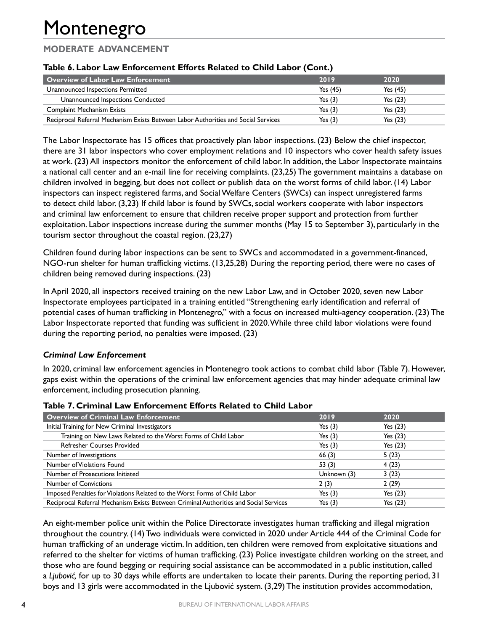## **MODERATE ADVANCEMENT**

#### **Table 6. Labor Law Enforcement Efforts Related to Child Labor (Cont.)**

| Overview of Labor Law Enforcement                                                  | 2019       | 2020       |
|------------------------------------------------------------------------------------|------------|------------|
| Unannounced Inspections Permitted                                                  | Yes $(45)$ | Yes $(45)$ |
| Unannounced Inspections Conducted                                                  | Yes $(3)$  | Yes $(23)$ |
| <b>Complaint Mechanism Exists</b>                                                  | Yes $(3)$  | Yes $(23)$ |
| Reciprocal Referral Mechanism Exists Between Labor Authorities and Social Services | Yes $(3)$  | Yes $(23)$ |

The Labor Inspectorate has 15 offices that proactively plan labor inspections. (23) Below the chief inspector, there are 31 labor inspectors who cover employment relations and 10 inspectors who cover health safety issues at work. (23) All inspectors monitor the enforcement of child labor. In addition, the Labor Inspectorate maintains a national call center and an e-mail line for receiving complaints. (23,25) The government maintains a database on children involved in begging, but does not collect or publish data on the worst forms of child labor. (14) Labor inspectors can inspect registered farms, and Social Welfare Centers (SWCs) can inspect unregistered farms to detect child labor. (3,23) If child labor is found by SWCs, social workers cooperate with labor inspectors and criminal law enforcement to ensure that children receive proper support and protection from further exploitation. Labor inspections increase during the summer months (May 15 to September 3), particularly in the tourism sector throughout the coastal region. (23,27)

Children found during labor inspections can be sent to SWCs and accommodated in a government-financed, NGO-run shelter for human trafficking victims. (13,25,28) During the reporting period, there were no cases of children being removed during inspections. (23)

In April 2020, all inspectors received training on the new Labor Law, and in October 2020, seven new Labor Inspectorate employees participated in a training entitled "Strengthening early identification and referral of potential cases of human trafficking in Montenegro," with a focus on increased multi-agency cooperation. (23) The Labor Inspectorate reported that funding was sufficient in 2020. While three child labor violations were found during the reporting period, no penalties were imposed. (23)

#### *Criminal Law Enforcement*

In 2020, criminal law enforcement agencies in Montenegro took actions to combat child labor (Table 7). However, gaps exist within the operations of the criminal law enforcement agencies that may hinder adequate criminal law enforcement, including prosecution planning.

| <b>Overview of Criminal Law Enforcement</b>                                           | 2019        | 2020       |
|---------------------------------------------------------------------------------------|-------------|------------|
| Initial Training for New Criminal Investigators                                       | Yes $(3)$   | Yes $(23)$ |
| Training on New Laws Related to the Worst Forms of Child Labor                        | Yes $(3)$   | Yes $(23)$ |
| <b>Refresher Courses Provided</b>                                                     | Yes $(3)$   | Yes $(23)$ |
| Number of Investigations                                                              | 66(3)       | 5(23)      |
| Number of Violations Found                                                            | 53 $(3)$    | 4(23)      |
| Number of Prosecutions Initiated                                                      | Unknown (3) | 3(23)      |
| <b>Number of Convictions</b>                                                          | 2(3)        | 2(29)      |
| Imposed Penalties for Violations Related to the Worst Forms of Child Labor            | Yes $(3)$   | Yes $(23)$ |
| Reciprocal Referral Mechanism Exists Between Criminal Authorities and Social Services | Yes $(3)$   | Yes (23)   |

#### **Table 7. Criminal Law Enforcement Efforts Related to Child Labor**

An eight-member police unit within the Police Directorate investigates human trafficking and illegal migration throughout the country. (14) Two individuals were convicted in 2020 under Article 444 of the Criminal Code for human trafficking of an underage victim. In addition, ten children were removed from exploitative situations and referred to the shelter for victims of human trafficking. (23) Police investigate children working on the street, and those who are found begging or requiring social assistance can be accommodated in a public institution, called a *Ljubović,* for up to 30 days while efforts are undertaken to locate their parents. During the reporting period, 31 boys and 13 girls were accommodated in the Ljubović system. (3,29) The institution provides accommodation,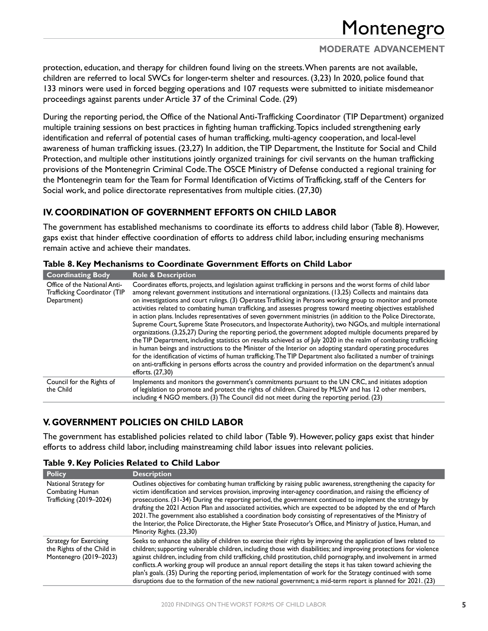## **MODERATE ADVANCEMENT**

protection, education, and therapy for children found living on the streets. When parents are not available, children are referred to local SWCs for longer-term shelter and resources. (3,23) In 2020, police found that 133 minors were used in forced begging operations and 107 requests were submitted to initiate misdemeanor proceedings against parents under Article 37 of the Criminal Code. (29)

During the reporting period, the Office of the National Anti-Trafficking Coordinator (TIP Department) organized multiple training sessions on best practices in fighting human trafficking. Topics included strengthening early identification and referral of potential cases of human trafficking, multi-agency cooperation, and local-level awareness of human trafficking issues. (23,27) In addition, the TIP Department, the Institute for Social and Child Protection, and multiple other institutions jointly organized trainings for civil servants on the human trafficking provisions of the Montenegrin Criminal Code. The OSCE Ministry of Defense conducted a regional training for the Montenegrin team for the Team for Formal Identification of Victims of Trafficking, staff of the Centers for Social work, and police directorate representatives from multiple cities. (27,30)

## **IV. COORDINATION OF GOVERNMENT EFFORTS ON CHILD LABOR**

The government has established mechanisms to coordinate its efforts to address child labor (Table 8). However, gaps exist that hinder effective coordination of efforts to address child labor, including ensuring mechanisms remain active and achieve their mandates.

| <b>Coordinating Body</b>                                                    | <b>Role &amp; Description</b>                                                                                                                                                                                                                                                                                                                                                                                                                                                                                                                                                                                                                                                                                                                                                                                                                                                                                                                                                                                                                                                                                                                                                                                                                                                                                      |
|-----------------------------------------------------------------------------|--------------------------------------------------------------------------------------------------------------------------------------------------------------------------------------------------------------------------------------------------------------------------------------------------------------------------------------------------------------------------------------------------------------------------------------------------------------------------------------------------------------------------------------------------------------------------------------------------------------------------------------------------------------------------------------------------------------------------------------------------------------------------------------------------------------------------------------------------------------------------------------------------------------------------------------------------------------------------------------------------------------------------------------------------------------------------------------------------------------------------------------------------------------------------------------------------------------------------------------------------------------------------------------------------------------------|
| Office of the National Anti-<br>Trafficking Coordinator (TIP<br>Department) | Coordinates efforts, projects, and legislation against trafficking in persons and the worst forms of child labor<br>among relevant government institutions and international organizations. (13,25) Collects and maintains data<br>on investigations and court rulings. (3) Operates Trafficking in Persons working group to monitor and promote<br>activities related to combating human trafficking, and assesses progress toward meeting objectives established<br>in action plans. Includes representatives of seven government ministries (in addition to the Police Directorate,<br>Supreme Court, Supreme State Prosecutors, and Inspectorate Authority), two NGOs, and multiple international<br>organizations. (3,25,27) During the reporting period, the government adopted multiple documents prepared by<br>the TIP Department, including statistics on results achieved as of July 2020 in the realm of combating trafficking<br>in human beings and instructions to the Minister of the Interior on adopting standard operating procedures<br>for the identification of victims of human trafficking. The TIP Department also facilitated a number of trainings<br>on anti-trafficking in persons efforts across the country and provided information on the department's annual<br>efforts. (27,30) |
| Council for the Rights of<br>the Child                                      | Implements and monitors the government's commitments pursuant to the UN CRC, and initiates adoption<br>of legislation to promote and protect the rights of children. Chaired by MLSW and has 12 other members,<br>including 4 NGO members. (3) The Council did not meet during the reporting period. (23)                                                                                                                                                                                                                                                                                                                                                                                                                                                                                                                                                                                                                                                                                                                                                                                                                                                                                                                                                                                                          |

**Table 8. Key Mechanisms to Coordinate Government Efforts on Child Labor**

## **V. GOVERNMENT POLICIES ON CHILD LABOR**

The government has established policies related to child labor (Table 9). However, policy gaps exist that hinder efforts to address child labor, including mainstreaming child labor issues into relevant policies.

| <b>Policy</b>                                                                   | <b>Description</b>                                                                                                                                                                                                                                                                                                                                                                                                                                                                                                                                                                                                                                                                                                            |
|---------------------------------------------------------------------------------|-------------------------------------------------------------------------------------------------------------------------------------------------------------------------------------------------------------------------------------------------------------------------------------------------------------------------------------------------------------------------------------------------------------------------------------------------------------------------------------------------------------------------------------------------------------------------------------------------------------------------------------------------------------------------------------------------------------------------------|
| National Strategy for<br><b>Combating Human</b><br>Trafficking (2019–2024)      | Outlines objectives for combating human trafficking by raising public awareness, strengthening the capacity for<br>victim identification and services provision, improving inter-agency coordination, and raising the efficiency of<br>prosecutions. (31-34) During the reporting period, the government continued to implement the strategy by<br>drafting the 2021 Action Plan and associated activities, which are expected to be adopted by the end of March<br>2021. The government also established a coordination body consisting of representatives of the Ministry of<br>the Interior, the Police Directorate, the Higher State Prosecutor's Office, and Ministry of Justice, Human, and<br>Minority Rights. (23,30) |
| Strategy for Exercising<br>the Rights of the Child in<br>Montenegro (2019-2023) | Seeks to enhance the ability of children to exercise their rights by improving the application of laws related to<br>children; supporting vulnerable children, including those with disabilities; and improving protections for violence<br>against children, including from child trafficking, child prostitution, child pornography, and involvement in armed<br>conflicts. A working group will produce an annual report detailing the steps it has taken toward achieving the<br>plan's goals. (35) During the reporting period, implementation of work for the Strategy continued with some<br>disruptions due to the formation of the new national government; a mid-term report is planned for 2021. (23)              |

**Table 9. Key Policies Related to Child Labor**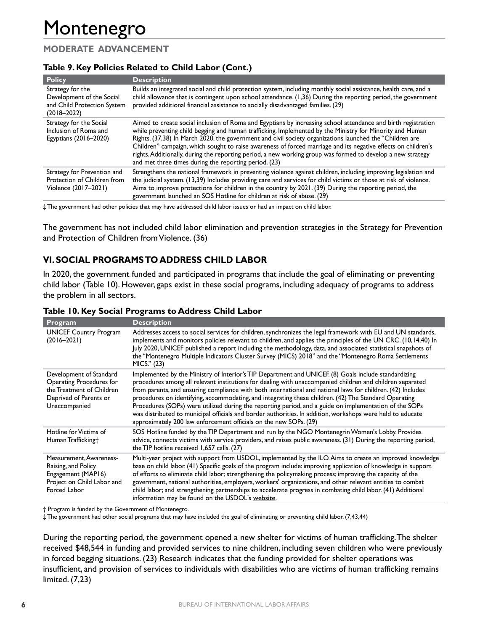### **MODERATE ADVANCEMENT**

#### **Table 9. Key Policies Related to Child Labor (Cont.)**

| <b>Policy</b>                                                                                   | <b>Description</b>                                                                                                                                                                                                                                                                                                                                                                                                                                                                                                                                                                                                             |
|-------------------------------------------------------------------------------------------------|--------------------------------------------------------------------------------------------------------------------------------------------------------------------------------------------------------------------------------------------------------------------------------------------------------------------------------------------------------------------------------------------------------------------------------------------------------------------------------------------------------------------------------------------------------------------------------------------------------------------------------|
| Strategy for the<br>Development of the Social<br>and Child Protection System<br>$(2018 - 2022)$ | Builds an integrated social and child protection system, including monthly social assistance, health care, and a<br>child allowance that is contingent upon school attendance. (1,36) During the reporting period, the government<br>provided additional financial assistance to socially disadvantaged families. (29)                                                                                                                                                                                                                                                                                                         |
| Strategy for the Social<br>Inclusion of Roma and<br>Egyptians (2016–2020)                       | Aimed to create social inclusion of Roma and Egyptians by increasing school attendance and birth registration<br>while preventing child begging and human trafficking. Implemented by the Ministry for Minority and Human<br>Rights. (37,38) In March 2020, the government and civil society organizations launched the "Children are<br>Children" campaign, which sought to raise awareness of forced marriage and its negative effects on children's<br>rights. Additionally, during the reporting period, a new working group was formed to develop a new strategy<br>and met three times during the reporting period. (23) |
| Strategy for Prevention and<br>Protection of Children from<br>Violence (2017-2021)              | Strengthens the national framework in preventing violence against children, including improving legislation and<br>the judicial system. (13,39) Includes providing care and services for child victims or those at risk of violence.<br>Aims to improve protections for children in the country by 2021. (39) During the reporting period, the<br>government launched an SOS Hotline for children at risk of abuse. (29)                                                                                                                                                                                                       |

‡ The government had other policies that may have addressed child labor issues or had an impact on child labor.

The government has not included child labor elimination and prevention strategies in the Strategy for Prevention and Protection of Children from Violence. (36)

## **VI. SOCIAL PROGRAMS TO ADDRESS CHILD LABOR**

In 2020, the government funded and participated in programs that include the goal of eliminating or preventing child labor (Table 10). However, gaps exist in these social programs, including adequacy of programs to address the problem in all sectors.

| Program                                                                                                                     | <b>Description</b>                                                                                                                                                                                                                                                                                                                                                                                                                                                                                                                                                                                                                                                                                                                     |
|-----------------------------------------------------------------------------------------------------------------------------|----------------------------------------------------------------------------------------------------------------------------------------------------------------------------------------------------------------------------------------------------------------------------------------------------------------------------------------------------------------------------------------------------------------------------------------------------------------------------------------------------------------------------------------------------------------------------------------------------------------------------------------------------------------------------------------------------------------------------------------|
| <b>UNICEF Country Program</b><br>$(2016 - 2021)$                                                                            | Addresses access to social services for children, synchronizes the legal framework with EU and UN standards,<br>implements and monitors policies relevant to children, and applies the principles of the UN CRC. (10,14,40) In<br>July 2020, UNICEF published a report including the methodology, data, and associated statistical snapshots of<br>the "Montenegro Multiple Indicators Cluster Survey (MICS) 2018" and the "Montenegro Roma Settlements<br>MICS." (23)                                                                                                                                                                                                                                                                 |
| Development of Standard<br>Operating Procedures for<br>the Treatment of Children<br>Deprived of Parents or<br>Unaccompanied | Implemented by the Ministry of Interior's TIP Department and UNICEF. (8) Goals include standardizing<br>procedures among all relevant institutions for dealing with unaccompanied children and children separated<br>from parents, and ensuring compliance with both international and national laws for children. (42) Includes<br>procedures on identifying, accommodating, and integrating these children. (42) The Standard Operating<br>Procedures (SOPs) were utilized during the reporting period, and a guide on implementation of the SOPs<br>was distributed to municipal officials and border authorities. In addition, workshops were held to educate<br>approximately 200 law enforcement officials on the new SOPs. (29) |
| Hotline for Victims of<br>Human Trafficking†                                                                                | SOS Hotline funded by the TIP Department and run by the NGO Montenegrin Women's Lobby. Provides<br>advice, connects victims with service providers, and raises public awareness. (31) During the reporting period,<br>the TIP hotline received 1,657 calls. (27)                                                                                                                                                                                                                                                                                                                                                                                                                                                                       |
| Measurement, Awareness-<br>Raising, and Policy<br>Engagement (MAP16)<br>Project on Child Labor and<br>Forced Labor          | Multi-year project with support from USDOL, implemented by the ILO. Aims to create an improved knowledge<br>base on child labor. (41) Specific goals of the program include: improving application of knowledge in support<br>of efforts to eliminate child labor; strengthening the policymaking process; improving the capacity of the<br>government, national authorities, employers, workers' organizations, and other relevant entities to combat<br>child labor; and strengthening partnerships to accelerate progress in combating child labor. (41) Additional<br>information may be found on the USDOL's website.                                                                                                             |

#### **Table 10. Key Social Programs to Address Child Labor**

† Program is funded by the Government of Montenegro.

‡ The government had other social programs that may have included the goal of eliminating or preventing child labor. (7,43,44)

During the reporting period, the government opened a new shelter for victims of human trafficking. The shelter received \$48,544 in funding and provided services to nine children, including seven children who were previously in forced begging situations. (23) Research indicates that the funding provided for shelter operations was insufficient, and provision of services to individuals with disabilities who are victims of human trafficking remains limited. (7,23)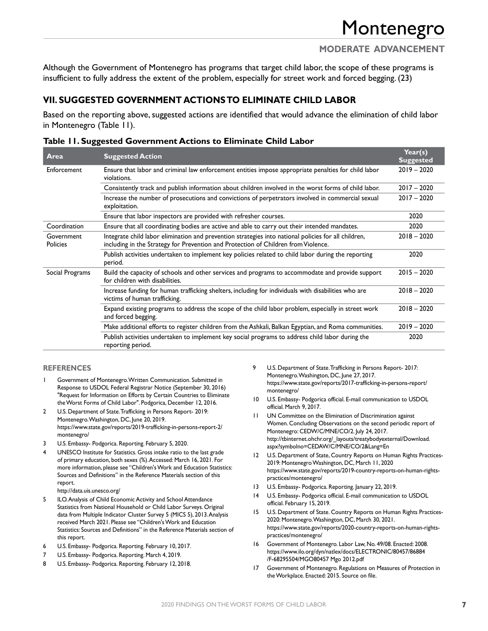## **MODERATE ADVANCEMENT**

Although the Government of Montenegro has programs that target child labor, the scope of these programs is insufficient to fully address the extent of the problem, especially for street work and forced begging. (23)

#### **VII. SUGGESTED GOVERNMENT ACTIONS TO ELIMINATE CHILD LABOR**

Based on the reporting above, suggested actions are identified that would advance the elimination of child labor in Montenegro (Table 11).

| Area                          | <b>Suggested Action</b>                                                                                                                                                                    | Year(s)<br><b>Suggested</b> |
|-------------------------------|--------------------------------------------------------------------------------------------------------------------------------------------------------------------------------------------|-----------------------------|
| Enforcement                   | Ensure that labor and criminal law enforcement entities impose appropriate penalties for child labor<br>violations.                                                                        | $2019 - 2020$               |
|                               | Consistently track and publish information about children involved in the worst forms of child labor.                                                                                      | $2017 - 2020$               |
|                               | Increase the number of prosecutions and convictions of perpetrators involved in commercial sexual<br>exploitation.                                                                         | $2017 - 2020$               |
|                               | Ensure that labor inspectors are provided with refresher courses.                                                                                                                          | 2020                        |
| Coordination                  | Ensure that all coordinating bodies are active and able to carry out their intended mandates.                                                                                              | 2020                        |
| Government<br><b>Policies</b> | Integrate child labor elimination and prevention strategies into national policies for all children,<br>including in the Strategy for Prevention and Protection of Children from Violence. | $2018 - 2020$               |
|                               | Publish activities undertaken to implement key policies related to child labor during the reporting<br>period.                                                                             | 2020                        |
| Social Programs               | Build the capacity of schools and other services and programs to accommodate and provide support<br>for children with disabilities.                                                        | $2015 - 2020$               |
|                               | Increase funding for human trafficking shelters, including for individuals with disabilities who are<br>victims of human trafficking.                                                      | $2018 - 2020$               |
|                               | Expand existing programs to address the scope of the child labor problem, especially in street work<br>and forced begging.                                                                 | $2018 - 2020$               |
|                               | Make additional efforts to register children from the Ashkali, Balkan Egyptian, and Roma communities.                                                                                      | $2019 - 2020$               |
|                               | Publish activities undertaken to implement key social programs to address child labor during the<br>reporting period.                                                                      | 2020                        |

#### **Table 11. Suggested Government Actions to Eliminate Child Labor**

#### **REFERENCES**

- 1 Government of Montenegro. Written Communication. Submitted in Response to USDOL Federal Registrar Notice (September 30, 2016) "Request for Information on Efforts by Certain Countries to Eliminate the Worst Forms of Child Labor". Podgorica, December 12, 2016.
- 2 U.S. Department of State. Trafficking in Persons Report- 2019: Montenegro. Washington, DC, June 20, 2019. [https://www.state.gov/reports/2019-trafficking-in-persons-report-2/](https://www.state.gov/reports/2019-trafficking-in-persons-report-2/montenegro/) [montenegro/](https://www.state.gov/reports/2019-trafficking-in-persons-report-2/montenegro/)
- 3 U.S. Embassy- Podgorica. Reporting. February 5, 2020.
- UNESCO Institute for Statistics. Gross intake ratio to the last grade of primary education, both sexes (%). Accessed: March 16, 2021. For more information, please see "Children's Work and Education Statistics: Sources and Definitions" in the Reference Materials section of this report. <http://data.uis.unesco.org/>
- 5 ILO. Analysis of Child Economic Activity and School Attendance Statistics from National Household or Child Labor Surveys. Original data from Multiple Indicator Cluster Survey 5 (MICS 5), 2013. Analysis received March 2021. Please see "Children's Work and Education Statistics: Sources and Definitions" in the Reference Materials section of this report.
- 6 U.S. Embassy- Podgorica. Reporting. February 10, 2017.
- 7 U.S. Embassy- Podgorica. Reporting. March 4, 2019.
- 8 U.S. Embassy- Podgorica. Reporting. February 12, 2018.
- 9 U.S. Department of State. Trafficking in Persons Report- 2017: Montenegro. Washington, DC, June 27, 2017. [https://www.state.gov/reports/2017-trafficking-in-persons-report/](https://www.state.gov/reports/2017-trafficking-in-persons-report/montenegro/) [montenegro/](https://www.state.gov/reports/2017-trafficking-in-persons-report/montenegro/)
- 10 U.S. Embassy- Podgorica official. E-mail communication to USDOL official. March 9, 2017.
- 11 UN Committee on the Elimination of Discrimination against Women. Concluding Observations on the second periodic report of Montenegro: CEDW/C/MNE/CO/2. July 24, 2017. [http://tbinternet.ohchr.org/\\_layouts/treatybodyexternal/Download.](http://tbinternet.ohchr.org/_layouts/treatybodyexternal/Download.aspx?symbolno=CEDAW/C/MNE/CO/2&Lang=En) [aspx?symbolno=CEDAW/C/MNE/CO/2&Lang=En](http://tbinternet.ohchr.org/_layouts/treatybodyexternal/Download.aspx?symbolno=CEDAW/C/MNE/CO/2&Lang=En)
- 12 U.S. Department of State, Country Reports on Human Rights Practices-2019: Montenegro Washington, DC, March 11, 2020 [https://www.state.gov/reports/2019-country-reports-on-human-rights](https://www.state.gov/reports/2019-country-reports-on-human-rights-practices/montenegro/)[practices/montenegro/](https://www.state.gov/reports/2019-country-reports-on-human-rights-practices/montenegro/)
- 13 U.S. Embassy- Podgorica. Reporting. January 22, 2019.
- 14 U.S. Embassy- Podgorica official. E-mail communication to USDOL official. February 15, 2019.
- 15 U.S. Department of State. Country Reports on Human Rights Practices-2020: Montenegro. Washington, DC, March 30, 2021. [https://www.state.gov/reports/2020-country-reports-on-human-rights](https://www.state.gov/reports/2020-country-reports-on-human-rights-practices/montenegro/)[practices/montenegro/](https://www.state.gov/reports/2020-country-reports-on-human-rights-practices/montenegro/)
- 16 Government of Montenegro. Labor Law, No. 49/08. Enacted: 2008. [https://www.ilo.org/dyn/natlex/docs/ELECTRONIC/80457/86884](https://www.ilo.org/dyn/natlex/docs/ELECTRONIC/80457/86884/F-68295504/MGO80457%20Mgo%202012.pdf) [/F-68295504/MGO80457 Mgo 2012.pdf](https://www.ilo.org/dyn/natlex/docs/ELECTRONIC/80457/86884/F-68295504/MGO80457%20Mgo%202012.pdf)
- 17 Government of Montenegro. Regulations on Measures of Protection in the Workplace. Enacted: 2015. Source on file.